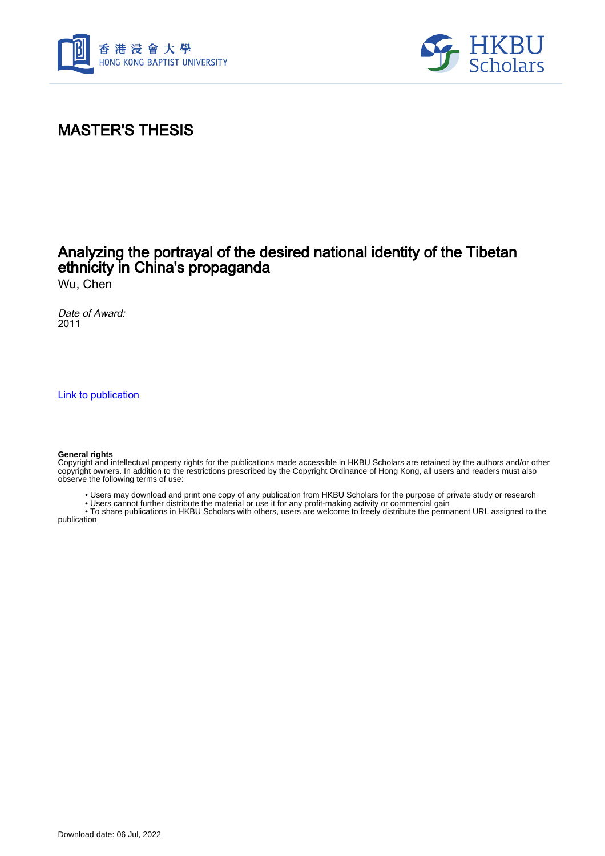



## MASTER'S THESIS

## Analyzing the portrayal of the desired national identity of the Tibetan ethnicity in China's propaganda

Wu, Chen

Date of Award: 2011

[Link to publication](https://scholars.hkbu.edu.hk/en/studentTheses/910ef911-07ce-46d1-8d0f-c670938f763c)

#### **General rights**

Copyright and intellectual property rights for the publications made accessible in HKBU Scholars are retained by the authors and/or other copyright owners. In addition to the restrictions prescribed by the Copyright Ordinance of Hong Kong, all users and readers must also observe the following terms of use:

• Users may download and print one copy of any publication from HKBU Scholars for the purpose of private study or research

• Users cannot further distribute the material or use it for any profit-making activity or commercial gain

 • To share publications in HKBU Scholars with others, users are welcome to freely distribute the permanent URL assigned to the publication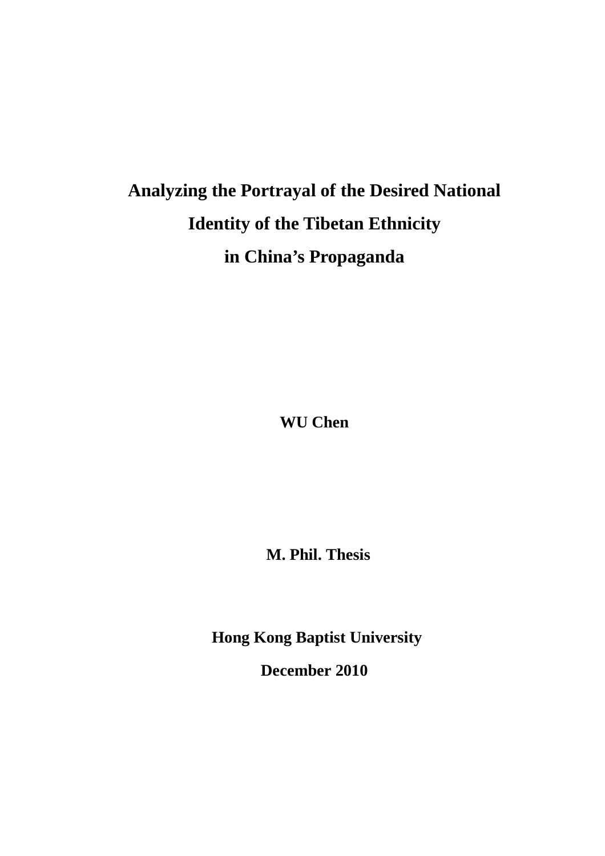# **Analyzing the Portrayal of the Desired National Identity of the Tibetan Ethnicity in China's Propaganda**

**WU Chen** 

**M. Phil. Thesis** 

**Hong Kong Baptist University** 

**December 2010**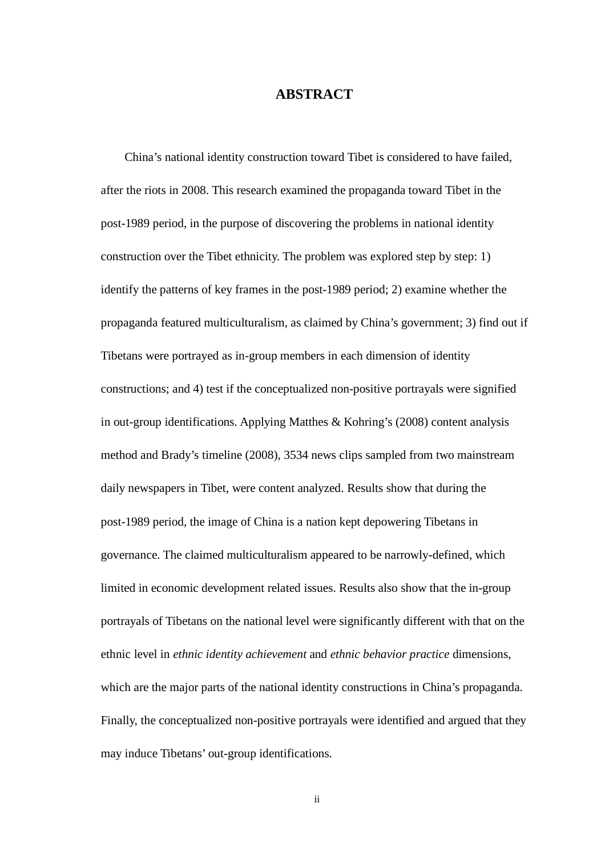### **ABSTRACT**

 China's national identity construction toward Tibet is considered to have failed, after the riots in 2008. This research examined the propaganda toward Tibet in the post-1989 period, in the purpose of discovering the problems in national identity construction over the Tibet ethnicity. The problem was explored step by step: 1) identify the patterns of key frames in the post-1989 period; 2) examine whether the propaganda featured multiculturalism, as claimed by China's government; 3) find out if Tibetans were portrayed as in-group members in each dimension of identity constructions; and 4) test if the conceptualized non-positive portrayals were signified in out-group identifications. Applying Matthes & Kohring's (2008) content analysis method and Brady's timeline (2008), 3534 news clips sampled from two mainstream daily newspapers in Tibet, were content analyzed. Results show that during the post-1989 period, the image of China is a nation kept depowering Tibetans in governance. The claimed multiculturalism appeared to be narrowly-defined, which limited in economic development related issues. Results also show that the in-group portrayals of Tibetans on the national level were significantly different with that on the ethnic level in *ethnic identity achievement* and *ethnic behavior practice* dimensions, which are the major parts of the national identity constructions in China's propaganda. Finally, the conceptualized non-positive portrayals were identified and argued that they may induce Tibetans' out-group identifications.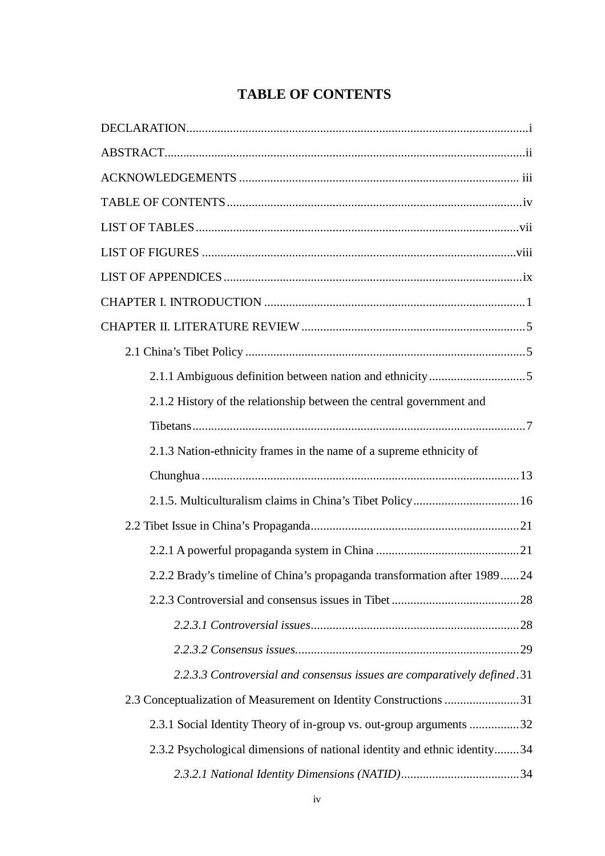## **TABLE OF CONTENTS**

| 2.1.2 History of the relationship between the central government and      |
|---------------------------------------------------------------------------|
|                                                                           |
| 2.1.3 Nation-ethnicity frames in the name of a supreme ethnicity of       |
|                                                                           |
| 2.1.5. Multiculturalism claims in China's Tibet Policy 16                 |
|                                                                           |
|                                                                           |
| 2.2.2 Brady's timeline of China's propaganda transformation after 198924  |
|                                                                           |
|                                                                           |
|                                                                           |
| 2.2.3.3 Controversial and consensus issues are comparatively defined.31   |
| 2.3 Conceptualization of Measurement on Identity Constructions 31         |
| 2.3.1 Social Identity Theory of in-group vs. out-group arguments 32       |
| 2.3.2 Psychological dimensions of national identity and ethnic identity34 |
|                                                                           |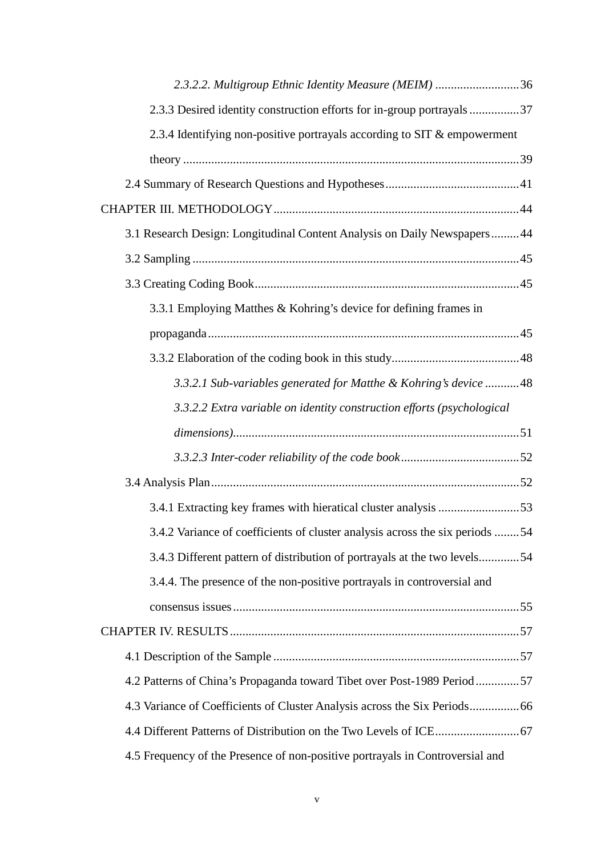| 2.3.2.2. Multigroup Ethnic Identity Measure (MEIM) 36                        |
|------------------------------------------------------------------------------|
| 2.3.3 Desired identity construction efforts for in-group portrayals37        |
| 2.3.4 Identifying non-positive portrayals according to SIT & empowerment     |
|                                                                              |
|                                                                              |
|                                                                              |
| 3.1 Research Design: Longitudinal Content Analysis on Daily Newspapers 44    |
|                                                                              |
|                                                                              |
| 3.3.1 Employing Matthes & Kohring's device for defining frames in            |
|                                                                              |
|                                                                              |
| 3.3.2.1 Sub-variables generated for Matthe & Kohring's device 48             |
| 3.3.2.2 Extra variable on identity construction efforts (psychological       |
|                                                                              |
|                                                                              |
|                                                                              |
|                                                                              |
| 3.4.1 Extracting key frames with hieratical cluster analysis 53              |
| 3.4.2 Variance of coefficients of cluster analysis across the six periods 54 |
| 3.4.3 Different pattern of distribution of portrayals at the two levels54    |
| 3.4.4. The presence of the non-positive portrayals in controversial and      |
|                                                                              |
|                                                                              |
|                                                                              |
| 4.2 Patterns of China's Propaganda toward Tibet over Post-1989 Period57      |
|                                                                              |
|                                                                              |